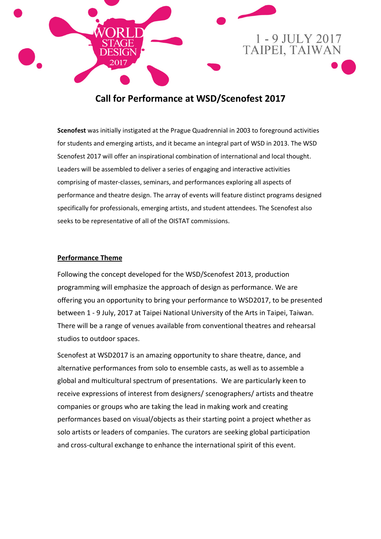

# **Call for Performance at WSD/Scenofest 2017**

**Scenofest** was initially instigated at the Prague Quadrennial in 2003 to foreground activities for students and emerging artists, and it became an integral part of WSD in 2013. The WSD Scenofest 2017 will offer an inspirational combination of international and local thought. Leaders will be assembled to deliver a series of engaging and interactive activities comprising of master-classes, seminars, and performances exploring all aspects of performance and theatre design. The array of events will feature distinct programs designed specifically for professionals, emerging artists, and student attendees. The Scenofest also seeks to be representative of all of the OISTAT commissions.

### **Performance Theme**

Following the concept developed for the WSD/Scenofest 2013, production programming will emphasize the approach of design as performance. We are offering you an opportunity to bring your performance to WSD2017, to be presented between 1 - 9 July, 2017 at Taipei National University of the Arts in Taipei, Taiwan. There will be a range of venues available from conventional theatres and rehearsal studios to outdoor spaces.

Scenofest at WSD2017 is an amazing opportunity to share theatre, dance, and alternative performances from solo to ensemble casts, as well as to assemble a global and multicultural spectrum of presentations. We are particularly keen to receive expressions of interest from designers/ scenographers/ artists and theatre companies or groups who are taking the lead in making work and creating performances based on visual/objects as their starting point a project whether as solo artists or leaders of companies. The curators are seeking global participation and cross-cultural exchange to enhance the international spirit of this event.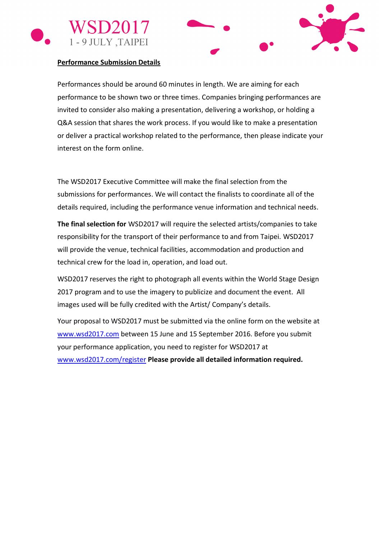



#### **Performance Submission Details**

Performances should be around 60 minutes in length. We are aiming for each performance to be shown two or three times. Companies bringing performances are invited to consider also making a presentation, delivering a workshop, or holding a Q&A session that shares the work process. If you would like to make a presentation or deliver a practical workshop related to the performance, then please indicate your interest on the form online.

The WSD2017 Executive Committee will make the final selection from the submissions for performances. We will contact the finalists to coordinate all of the details required, including the performance venue information and technical needs.

**The final selection for** WSD2017 will require the selected artists/companies to take responsibility for the transport of their performance to and from Taipei. WSD2017 will provide the venue, technical facilities, accommodation and production and technical crew for the load in, operation, and load out.

WSD2017 reserves the right to photograph all events within the World Stage Design 2017 program and to use the imagery to publicize and document the event. All images used will be fully credited with the Artist/ Company's details.

Your proposal to WSD2017 must be submitted via the online form on the website at [www.wsd2017.com](http://www.wsd2017.com/) between 15 June and 15 September 2016. Before you submit your performance application, you need to register for WSD2017 at [www.wsd2017.com/register](http://www.wsd2017.com/register) **Please provide all detailed information required.**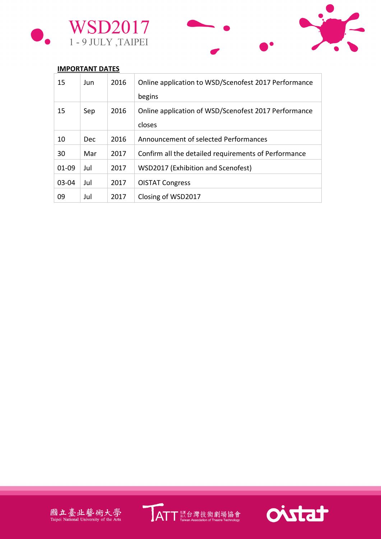



## **IMPORTANT DATES**

| 15        | Jun        | 2016 | Online application to WSD/Scenofest 2017 Performance           |
|-----------|------------|------|----------------------------------------------------------------|
|           |            |      | begins                                                         |
| 15        | Sep        | 2016 | Online application of WSD/Scenofest 2017 Performance<br>closes |
| 10        | <b>Dec</b> | 2016 | Announcement of selected Performances                          |
| 30        | Mar        | 2017 | Confirm all the detailed requirements of Performance           |
| $01 - 09$ | Jul        | 2017 | WSD2017 (Exhibition and Scenofest)                             |
| $03 - 04$ | Jul        | 2017 | <b>OISTAT Congress</b>                                         |
| 09        | Jul        | 2017 | Closing of WSD2017                                             |





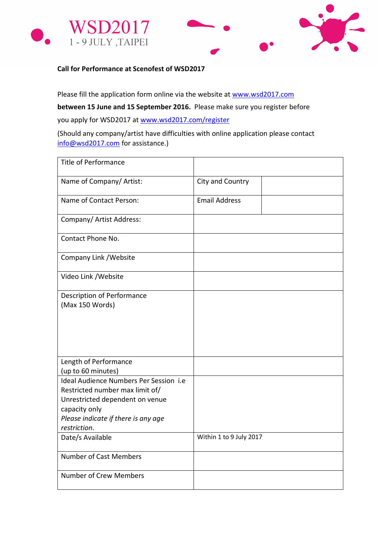



**Call for Performance at Scenofest of WSD2017**

Please fill the application form online via the website at [www.wsd2017.com](http://www.wsd2017.com/)

**between 15 June and 15 September 2016.** Please make sure you register before

you apply for WSD2017 at [www.wsd2017.com/register](http://www.wsd2017.com/register)

(Should any company/artist have difficulties with online application please contact [info@wsd2017.com](mailto:info@wsd2017.com) for assistance.)

| <b>Title of Performance</b>                                                                                                   |                         |
|-------------------------------------------------------------------------------------------------------------------------------|-------------------------|
| Name of Company/ Artist:                                                                                                      | City and Country        |
| Name of Contact Person:                                                                                                       | <b>Email Address</b>    |
| Company/ Artist Address:                                                                                                      |                         |
| Contact Phone No.                                                                                                             |                         |
| Company Link / Website                                                                                                        |                         |
| Video Link / Website                                                                                                          |                         |
| Description of Performance<br>(Max 150 Words)                                                                                 |                         |
|                                                                                                                               |                         |
| Length of Performance<br>(up to 60 minutes)                                                                                   |                         |
| Ideal Audience Numbers Per Session i.e<br>Restricted number max limit of/<br>Unrestricted dependent on venue<br>capacity only |                         |
| Please indicate if there is any age<br>restriction.                                                                           |                         |
| Date/s Available                                                                                                              | Within 1 to 9 July 2017 |
| <b>Number of Cast Members</b>                                                                                                 |                         |
| <b>Number of Crew Members</b>                                                                                                 |                         |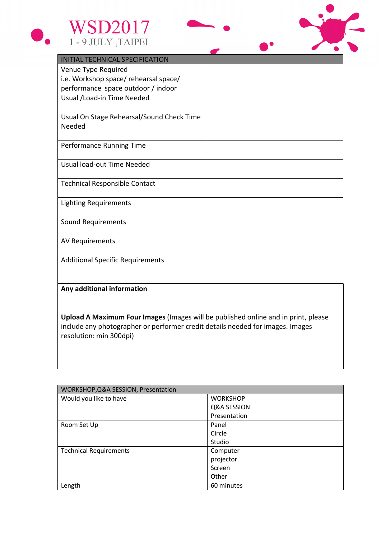



| <b>INITIAL TECHNICAL SPECIFICATION</b>    |  |  |  |  |  |
|-------------------------------------------|--|--|--|--|--|
| Venue Type Required                       |  |  |  |  |  |
| i.e. Workshop space/ rehearsal space/     |  |  |  |  |  |
| performance space outdoor / indoor        |  |  |  |  |  |
| Usual / Load-in Time Needed               |  |  |  |  |  |
| Usual On Stage Rehearsal/Sound Check Time |  |  |  |  |  |
| Needed                                    |  |  |  |  |  |
| Performance Running Time                  |  |  |  |  |  |
| Usual load-out Time Needed                |  |  |  |  |  |
| <b>Technical Responsible Contact</b>      |  |  |  |  |  |
| <b>Lighting Requirements</b>              |  |  |  |  |  |
| Sound Requirements                        |  |  |  |  |  |
| AV Requirements                           |  |  |  |  |  |
| <b>Additional Specific Requirements</b>   |  |  |  |  |  |
|                                           |  |  |  |  |  |

#### **Any additional information**

**Upload A Maximum Four Images** (Images will be published online and in print, please include any photographer or performer credit details needed for images. Images resolution: min 300dpi)

| WORKSHOP, Q&A SESSION, Presentation |                 |  |  |  |
|-------------------------------------|-----------------|--|--|--|
| Would you like to have              | <b>WORKSHOP</b> |  |  |  |
|                                     | Q&A SESSION     |  |  |  |
|                                     | Presentation    |  |  |  |
| Room Set Up                         | Panel           |  |  |  |
|                                     | Circle          |  |  |  |
|                                     | Studio          |  |  |  |
| <b>Technical Requirements</b>       | Computer        |  |  |  |
|                                     | projector       |  |  |  |
|                                     | Screen          |  |  |  |
|                                     | Other           |  |  |  |
| Length                              | 60 minutes      |  |  |  |